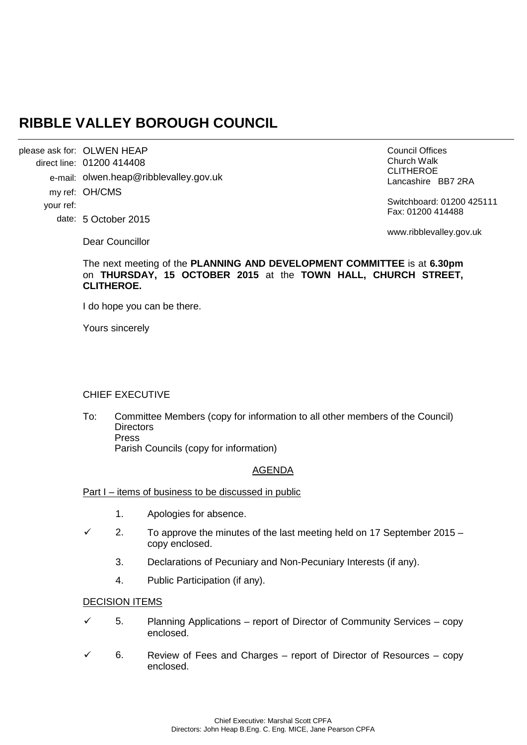# **RIBBLE VALLEY BOROUGH COUNCIL**

OLWEN HEAP please ask for: 01200 414408 direct line: e-mail: olwen.heap@ribblevalley.gov.uk my ref: OH/CMS 5 October 2015 date: your ref:

Council Offices Church Walk CLITHEROE Lancashire BB7 2RA

Switchboard: 01200 425111 Fax: 01200 414488

Dear Councillor

**CLITHEROE.**

Yours sincerely

www.ribblevalley.gov.uk

# CHIEF EXECUTIVE

I do hope you can be there.

To: Committee Members (copy for information to all other members of the Council) **Directors** Press Parish Councils (copy for information)

The next meeting of the **PLANNING AND DEVELOPMENT COMMITTEE** is at **6.30pm**  on **THURSDAY, 15 OCTOBER 2015** at the **TOWN HALL, CHURCH STREET,** 

## AGENDA

## Part I – items of business to be discussed in public

- 1. Apologies for absence.
- $\checkmark$  2. To approve the minutes of the last meeting held on 17 September 2015 copy enclosed.
	- 3. Declarations of Pecuniary and Non-Pecuniary Interests (if any).
	- 4. Public Participation (if any).

#### DECISION ITEMS

- $\checkmark$  5. Planning Applications report of Director of Community Services copy enclosed.
- 6. Review of Fees and Charges report of Director of Resources copy enclosed.